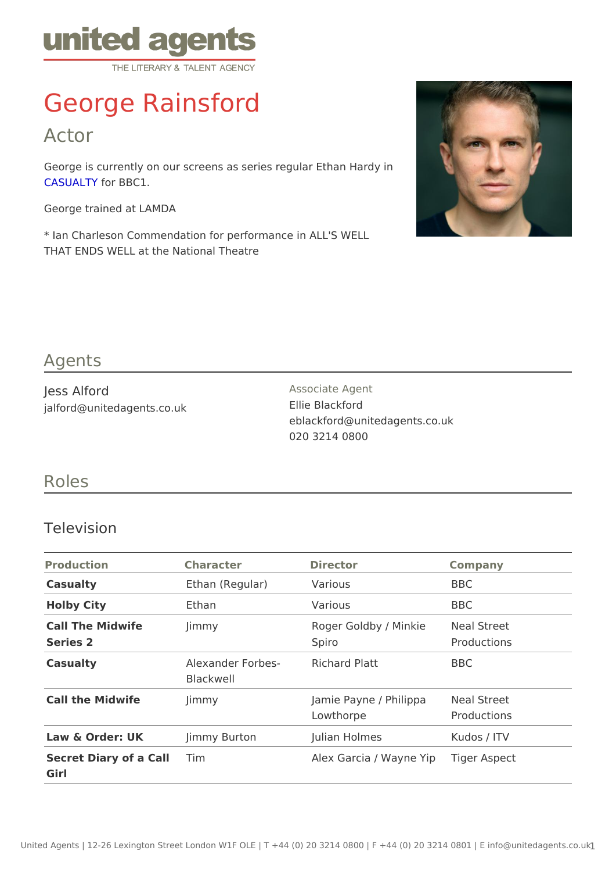# George Rainsford

Actor

George is currently on our screens as series regular Ethan Hardy in [CASUAL](http://www.bbc.co.uk/programmes/b006m8wd) for BBC1.

George trained at LAMDA

\* Ian Charleson Commendation for performance in ALL'S WELL THAT ENDS WELL at the National Theatre

#### Agents

| Jess Alford                | Associate Agent               |  |
|----------------------------|-------------------------------|--|
| jalford@unitedagents.co.uk | Ellie Blackford               |  |
|                            | eblackford@unitedagents.co.uk |  |
|                            | 020 3214 0800                 |  |

### Roles

#### Television

| Production                              | Character                                  | Director                                     | Company     |
|-----------------------------------------|--------------------------------------------|----------------------------------------------|-------------|
| Casualty                                | Ethan (Regular) Various                    |                                              | <b>BBC</b>  |
| Holby City                              | Ethan                                      | Various                                      | BBC         |
| Call The Midwife<br>Series <sub>2</sub> | Jimmy                                      | Roger Goldby / MinMieal Street<br>Spiro      | Productions |
| Casualty                                | Alexander ForbesRichard Platt<br>Blackwell |                                              | BBC         |
| Call the Midwife                        | Jimmy                                      | Jamie Payne / Philippeal Street<br>Lowthorpe | Productions |
| Law & Order: UK Jimmy Burton            |                                            | Julian Holmes                                | Kudos / ITV |
| Secret Diary of a Chilm<br>Girl         |                                            | Alex Garcia / Wayneiger Aspect               |             |